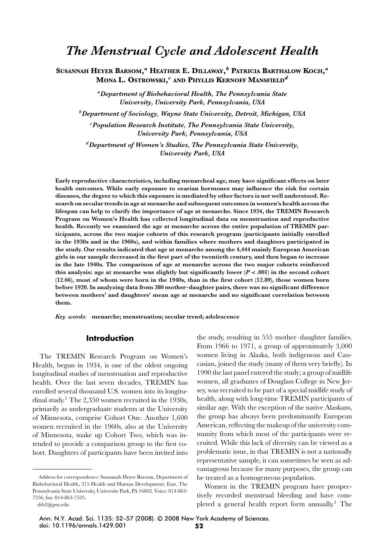# *The Menstrual Cycle and Adolescent Health*

**SUSANNAH HEYER BARSOM,** *<sup>a</sup>* **HEATHER E. DILLAWAY,** *<sup>b</sup>* **PATRICIA BARTHALOW KOCH,** *a* **MONA L. OSTROWSKI,** *<sup>c</sup>* **AND PHYLLIS KERNOFF MANSFIELD***<sup>d</sup>*

> *aDepartment of Biobehavioral Health, The Pennsylvania State University, University Park, Pennsylvania, USA*

*bDepartment of Sociology, Wayne State University, Detroit, Michigan, USA*

*c Population Research Institute, The Pennsylvania State University, University Park, Pennsylvania, USA*

*dDepartment of Women's Studies, The Pennsylvania State University, University Park, USA*

**Early reproductive characteristics, including menarcheal age, may have significant effects on later health outcomes. While early exposure to ovarian hormones may influence the risk for certain diseases, the degree to which this exposure is mediated by other factors is not well understood. Research on secular trends in age at menarche and subsequent outcomes in women's health across the lifespan can help to clarify the importance of age at menarche. Since 1934, the TREMIN Research Program on Women's Health has collected longitudinal data on menstruation and reproductive health. Recently we examined the age at menarche across the entire population of TREMIN participants, across the two major cohorts of this research program (participants initially enrolled in the 1930s and in the 1960s), and within families where mothers and daughters participated in the study. Our results indicated that age at menarche among the 4,444 mainly European American girls in our sample decreased in the first part of the twentieth century, and then began to increase in the late 1940s. The comparison of age at menarche across the two major cohorts reinforced this analysis: age at menarche was slightly but significantly lower (***P* **< .001) in the second cohort (12.66), most of whom were born in the 1940s, than in the first cohort (12.89), those women born before 1920. In analyzing data from 380 mother–daughter pairs, there was no significant difference between mothers' and daughters' mean age at menarche and no significant correlation between them.**

*Key words:* **menarche; menstruation; secular trend; adolescence**

#### **Introduction**

The TREMIN Research Program on Women's Health, begun in 1934, is one of the oldest ongoing longitudinal studies of menstruation and reproductive health. Over the last seven decades, TREMIN has enrolled several thousand U.S. women into its longitudinal study.<sup>1</sup> The 2,350 women recruited in the 1930s, primarily as undergraduate students at the University of Minnesota, comprise Cohort One. Another 1,600 women recruited in the 1960s, also at the University of Minnesota, make up Cohort Two, which was intended to provide a comparison group to the first cohort. Daughters of participants have been invited into the study, resulting in 555 mother–daughter families. From 1966 to 1971, a group of approximately 3,000 women living in Alaska, both indigenous and Caucasian, joined the study (many of them very briefly). In 1990 the last panel entered the study; a group of midlife women, all graduates of Douglass College in New Jersey, was recruited to be part of a special midlife study of health, along with long-time TREMIN participants of similar age. With the exception of the native Alaskans, the group has always been predominantly European American, reflecting the makeup of the university community from which most of the participants were recruited. While this lack of diversity can be viewed as a problematic issue, in that TREMIN is not a nationally representative sample, it can sometimes be seen as advantageous because for many purposes, the group can be treated as a homogeneous population.

Women in the TREMIN program have prospectively recorded menstrual bleeding and have completed a general health report form annually.<sup>1</sup> The

Ann. N.Y. Acad. Sci. 1135: 52–57 (2008). © 2008 New York Academy of Sciences. doi: 10.1196/annals.1429.001 **52**

Address for correspondence: Susannah Heyer Barsom, Department of Biobehavioral Health, 315 Health and Human Development, East, The Pennsylvania State University, University Park, PA 16802. Voice: 814-863- 7256; fax: 814-863-7525.

shb2@psu.edu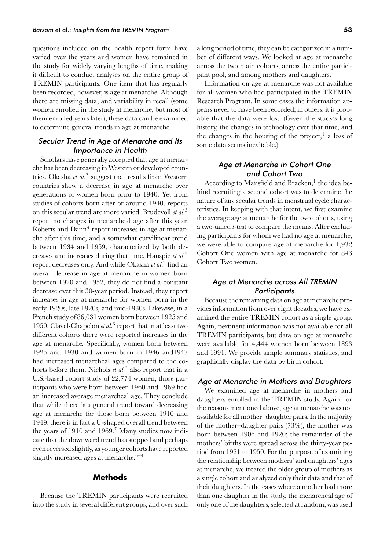questions included on the health report form have varied over the years and women have remained in the study for widely varying lengths of time, making it difficult to conduct analyses on the entire group of TREMIN participants. One item that has regularly been recorded, however, is age at menarche. Although there are missing data, and variability in recall (some women enrolled in the study at menarche, but most of them enrolled years later), these data can be examined to determine general trends in age at menarche.

# Secular Trend in Age at Menarche and Its Importance in Health

Scholars have generally accepted that age at menarche has been decreasing in Western or developed countries. Okasha *et al.*<sup>2</sup> suggest that results from Western countries show a decrease in age at menarche over generations of women born prior to 1940. Yet from studies of cohorts born after or around 1940, reports on this secular trend are more varied. Brudevoll *et al.*<sup>3</sup> report no changes in menarcheal age after this year. Roberts and Dann<sup>4</sup> report increases in age at menarche after this time, and a somewhat curvilinear trend between 1934 and 1959, characterized by both decreases and increases during that time. Hauspie *et al.*<sup>5</sup> report decreases only. And while Okasha *et al.*<sup>2</sup> find an overall decrease in age at menarche in women born between 1920 and 1952, they do not find a constant decrease over this 30-year period. Instead, they report increases in age at menarche for women born in the early 1920s, late 1920s, and mid-1930s. Likewise, in a French study of 86,031 women born between 1925 and 1950, Clavel-Chapelon *et al.*<sup>6</sup> report that in at least two different cohorts there were reported increases in the age at menarche. Specifically, women born between 1925 and 1930 and women born in 1946 and1947 had increased menarcheal ages compared to the cohorts before them. Nichols *et al.*<sup>7</sup> also report that in a U.S.-based cohort study of 22,774 women, those participants who were born between 1960 and 1969 had an increased average menarcheal age. They conclude that while there is a general trend toward decreasing age at menarche for those born between 1910 and 1949, there is in fact a U-shaped overall trend between the years of 1910 and 1969.<sup>7</sup> Many studies now indicate that the downward trend has stopped and perhaps even reversed slightly, as younger cohorts have reported slightly increased ages at menarche. $6-9$ 

#### **Methods**

Because the TREMIN participants were recruited into the study in several different groups, and over such a long period of time, they can be categorized in a number of different ways. We looked at age at menarche across the two main cohorts, across the entire participant pool, and among mothers and daughters.

Information on age at menarche was not available for all women who had participated in the TREMIN Research Program. In some cases the information appears never to have been recorded; in others, it is probable that the data were lost. (Given the study's long history, the changes in technology over that time, and the changes in the housing of the project, $\frac{1}{1}$  a loss of some data seems inevitable.)

## Age at Menarche in Cohort One and Cohort Two

According to Mansfield and Bracken,<sup>1</sup> the idea behind recruiting a second cohort was to determine the nature of any secular trends in menstrual cycle characteristics. In keeping with that intent, we first examine the average age at menarche for the two cohorts, using a two-tailed *t*-test to compare the means. After excluding participants for whom we had no age at menarche, we were able to compare age at menarche for 1,932 Cohort One women with age at menarche for 843 Cohort Two women.

#### Age at Menarche across All TREMIN **Participants**

Because the remaining data on age at menarche provides information from over eight decades, we have examined the entire TREMIN cohort as a single group. Again, pertinent information was not available for all TREMIN participants, but data on age at menarche were available for 4,444 women born between 1893 and 1991. We provide simple summary statistics, and graphically display the data by birth cohort.

#### Age at Menarche in Mothers and Daughters

We examined age at menarche in mothers and daughters enrolled in the TREMIN study. Again, for the reasons mentioned above, age at menarche was not available for all mother–daughter pairs. In the majority of the mother–daughter pairs (73%), the mother was born between 1906 and 1920; the remainder of the mothers' births were spread across the thirty-year period from 1921 to 1950. For the purpose of examining the relationship between mothers' and daughters' ages at menarche, we treated the older group of mothers as a single cohort and analyzed only their data and that of their daughters. In the cases where a mother had more than one daughter in the study, the menarcheal age of only one of the daughters, selected at random, was used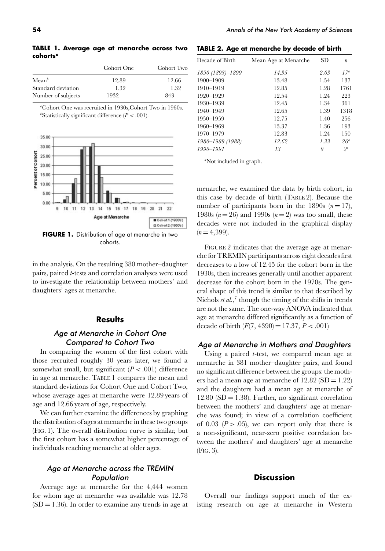Cohort One Cohort Two Mean<sup>b</sup> 12.89 12.66 Standard deviation 1.32 1.32 Number of subjects 1932 843

**TABLE 1. Average age at menarche across two cohorts<sup>a</sup>**

*a* Cohort One was recruited in 1930s,Cohort Two in 1960s. *b* Statistically significant difference (*P <* .001).



**FIGURE 1.** Distribution of age at menarche in two cohorts.

in the analysis. On the resulting 380 mother–daughter pairs, paired *t*-tests and correlation analyses were used to investigate the relationship between mothers' and daughters' ages at menarche.

#### **Results**

## Age at Menarche in Cohort One Compared to Cohort Two

In comparing the women of the first cohort with those recruited roughly 30 years later, we found a somewhat small, but significant  $(P < .001)$  difference in age at menarche. TABLE 1 compares the mean and standard deviations for Cohort One and Cohort Two, whose average ages at menarche were 12.89 years of age and 12.66 years of age, respectively.

We can further examine the differences by graphing the distribution of ages at menarche in these two groups (FIG. 1). The overall distribution curve is similar, but the first cohort has a somewhat higher percentage of individuals reaching menarche at older ages.

# Age at Menarche across the TREMIN Population

Average age at menarche for the 4,444 women for whom age at menarche was available was 12.78  $(SD = 1.36)$ . In order to examine any trends in age at

**TABLE 2. Age at menarche by decade of birth**

| Decade of Birth  | Mean Age at Menarche | SD   | n            |
|------------------|----------------------|------|--------------|
| 1890 (1893)–1899 | 14.35                | 2.03 | $17^a$       |
| 1900-1909        | 13.48                | 1.54 | 137          |
| 1910-1919        | 12.85                | 1.28 | 1761         |
| 1920-1929        | 12.54                | 1.24 | 223          |
| 1930-1939        | 12.45                | 1.34 | 361          |
| 1940-1949        | 12.65                | 1.39 | 1318         |
| 1950-1959        | 12.75                | 1.40 | 256          |
| 1960–1969        | 13.37                | 1.36 | 193          |
| 1970-1979        | 12.83                | 1.24 | 150          |
| 1980–1989 (1988) | 12.62                | 1.33 | $26^{\circ}$ |
| $1990 - 1991$    | 13                   | n    | $2^a$        |

*a* Not included in graph.

menarche, we examined the data by birth cohort, in this case by decade of birth (TABLE 2). Because the number of participants born in the 1890s  $(n=17)$ , 1980s  $(n = 26)$  and 1990s  $(n = 2)$  was too small, these decades were not included in the graphical display  $(n=4,399)$ .

FIGURE 2 indicates that the average age at menarche for TREMIN participants across eight decades first decreases to a low of 12.45 for the cohort born in the 1930s, then increases generally until another apparent decrease for the cohort born in the 1970s. The general shape of this trend is similar to that described by Nichols *et al.*, <sup>7</sup> though the timing of the shifts in trends are not the same. The one-way ANOVA indicated that age at menarche differed significantly as a function of decade of birth  $(F(7, 4390) = 17.37, P < .001)$ 

#### Age at Menarche in Mothers and Daughters

Using a paired *t*-test, we compared mean age at menarche in 381 mother–daughter pairs, and found no significant difference between the groups: the mothers had a mean age at menarche of  $12.82$  (SD =  $1.22$ ) and the daughters had a mean age at menarche of 12.80 ( $SD = 1.38$ ). Further, no significant correlation between the mothers' and daughters' age at menarche was found; in view of a correlation coefficient of 0.03  $(P > .05)$ , we can report only that there is a non-significant, near-zero positive correlation between the mothers' and daughters' age at menarche (FIG. 3).

#### **Discussion**

Overall our findings support much of the existing research on age at menarche in Western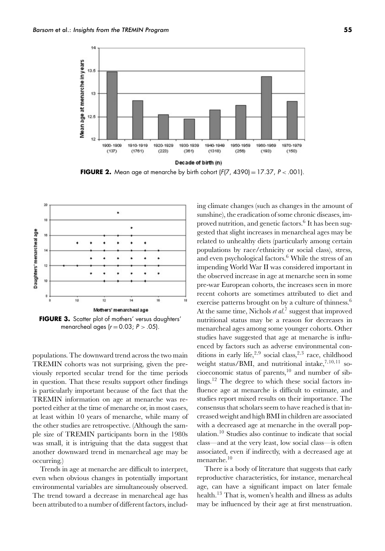

**FIGURE 2.** Mean age at menarche by birth cohort  $(F|7, 4390) = 17.37$ ,  $P < .001$ ).



populations. The downward trend across the two main TREMIN cohorts was not surprising, given the previously reported secular trend for the time periods in question. That these results support other findings is particularly important because of the fact that the TREMIN information on age at menarche was reported either at the time of menarche or, in most cases, at least within 10 years of menarche, while many of the other studies are retrospective. (Although the sample size of TREMIN participants born in the 1980s was small, it is intriguing that the data suggest that another downward trend in menarcheal age may be occurring.)

Trends in age at menarche are difficult to interpret, even when obvious changes in potentially important environmental variables are simultaneously observed. The trend toward a decrease in menarcheal age has been attributed to a number of different factors, including climate changes (such as changes in the amount of sunshine), the eradication of some chronic diseases, improved nutrition, and genetic factors.<sup>6</sup> It has been suggested that slight increases in menarcheal ages may be related to unhealthy diets (particularly among certain populations by race/ethnicity or social class), stress, and even psychological factors. $6$  While the stress of an impending World War II was considered important in the observed increase in age at menarche seen in some pre-war European cohorts, the increases seen in more recent cohorts are sometimes attributed to diet and exercise patterns brought on by a culture of thinness.<sup>6</sup> At the same time, Nichols *et al.*<sup>7</sup> suggest that improved nutritional status may be a reason for decreases in menarcheal ages among some younger cohorts. Other studies have suggested that age at menarche is influenced by factors such as adverse environmental conditions in early life, $2,9$  social class, $2,3$  race, childhood weight status/BMI, and nutritional intake,<sup>7,10,11</sup> socioeconomic status of parents, $^{10}$  and number of siblings.<sup>12</sup> The degree to which these social factors influence age at menarche is difficult to estimate, and studies report mixed results on their importance. The consensus that scholars seem to have reached is that increased weight and high BMI in children are associated with a decreased age at menarche in the overall population.<sup>10</sup> Studies also continue to indicate that social class—and at the very least, low social class—is often associated, even if indirectly, with a decreased age at menarche.<sup>10</sup>

There is a body of literature that suggests that early reproductive characteristics, for instance, menarcheal age, can have a significant impact on later female health.<sup>13</sup> That is, women's health and illness as adults may be influenced by their age at first menstruation.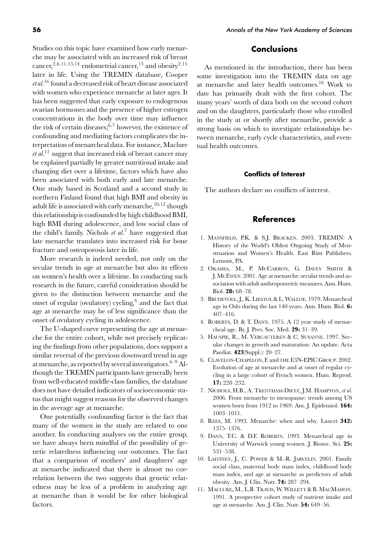Studies on this topic have examined how early menarche may be associated with an increased risk of breast cancer,<sup>2</sup>,<sup>6</sup>,<sup>11</sup>,<sup>13</sup>,<sup>14</sup> endometrial cancer,<sup>13</sup> and obesity<sup>2,15</sup> later in life. Using the TREMIN database, Cooper *et al.*<sup>16</sup> found a decreased risk of heart disease associated with women who experience menarche at later ages. It has been suggested that early exposure to endogenous ovarian hormones and the presence of higher estrogen concentrations in the body over time may influence the risk of certain diseases;<sup>6</sup>*,*<sup>7</sup> however, the existence of confounding and mediating factors complicates the interpretation of menarcheal data. For instance, Maclure *et al.*<sup>11</sup> suggest that increased risk of breast cancer may be explained partially by greater nutritional intake and changing diet over a lifetime, factors which have also been associated with both early and late menarche. One study based in Scotland and a second study in northern Finland found that high BMI and obesity in adult life is associated with early menarche,<sup>10,12</sup> though this relationship is confounded by high childhood BMI, high BMI during adolescence, and low social class of the child's family. Nichols *et al.*<sup>7</sup> have suggested that late menarche translates into increased risk for bone fracture and osteoporosis later in life.

More research is indeed needed, not only on the secular trends in age at menarche but also its effects on women's health over a lifetime. In conducting such research in the future, careful consideration should be given to the distinction between menarche and the onset of regular (ovulatory) cycling, $6$  and the fact that age at menarche may be of less significance than the onset of ovulatory cycling in adolescence.

The U-shaped curve representing the age at menarche for the entire cohort, while not precisely replicating the findings from other populations, does support a similar reversal of the previous downward trend in age at menarche, as reported by several investigators. $6-9$  Although the TREMIN participants have generally been from well-educated middle-class families, the database does not have detailed indicators of socioeconomic status that might suggest reasons for the observed changes in the average age at menarche.

One potentially confounding factor is the fact that many of the women in the study are related to one another. In conducting analyses on the entire group, we have always been mindful of the possibility of genetic relatedness influencing our outcomes. The fact that a comparison of mothers' and daughters' age at menarche indicated that there is almost no correlation between the two suggests that genetic relatedness may be less of a problem in analyzing age at menarche than it would be for other biological factors.

#### **Conclusions**

As mentioned in the introduction, there has been some investigation into the TREMIN data on age at menarche and later health outcomes.<sup>16</sup> Work to date has primarily dealt with the first cohort. The many years' worth of data both on the second cohort and on the daughters, particularly those who enrolled in the study at or shortly after menarche, provide a strong basis on which to investigate relationships between menarche, early cycle characteristics, and eventual health outcomes.

#### **Conflicts of Interest**

The authors declare no conflicts of interest.

## **References**

- 1. MANSFIELD, P.K. & S.J. BRACKEN. 2003. TREMIN: A History of the World's Oldest Ongoing Study of Menstruation and Women's Health. East Rim Publishers. Lemont, PA.
- 2. OKASHA, M., P. MCCARRON, G. DAVEY SMITH & J. MCEWEN. 2001. Age at menarche: secular trends and association with adult anthropometric measures. Ann. Hum. Biol. **28:** 68–78.
- 3. BRUDEVOLL, J., K. LIESTOL& L. WALLOE. 1979. Menarcheal age in Oslo during the last 140 years. Ann. Hum. Biol. **6:** 407–416.
- 4. ROBERTS, D. & T. DANN. 1975. A 12 year study of menarcheal age. Br. J. Prev. Soc. Med. **29:** 31–39.
- 5. HAUSPIE, R., M. VERCAUTEREN & C. SUSANNE. 1997. Secular changes in growth and maturation: An update. Acta Paediat. **423**(Suppl.): 20–27.
- 6. CLAVELON-CHAPELON, F. and THE E3N-EPIC GROUP. 2002. Evolution of age at menarche and at onset of regular cycling in a large cohort of French women. Hum. Reprod. **17:** 228–232.
- 7. NICHOLS, H.B., A. TRENTHAM-DIETZ, J.M. HAMPTON, *et al.* 2006. From menarche to menopause: trends among US women born from 1912 to 1969. Am. J. Epidemiol. **164:** 1003–1011.
- 8. REES, M. 1993. Menarche: when and why. Lancet **342:** 1375–1376.
- 9. DANN, T.C. & D.F. ROBERTS. 1993. Menarcheal age in University of Warwick young women. J. Biosoc. Sci. **25:** 531–538.
- 10. LAITINEN, J., C. POWER & M.-R. JARVELIN. 2001. Family social class, maternal body mass index, childhood body mass index, and age at menarche as predictors of adult obesity. Am. J. Clin. Nutr. **74:** 287–294.
- 11. MACLURE, M., L.B. TRAVIS, W. WILLETT & B. MACMAHON. 1991. A prospective cohort study of nutrient intake and age at menarche. Am. J. Clin. Nutr. **54:** 649–56.